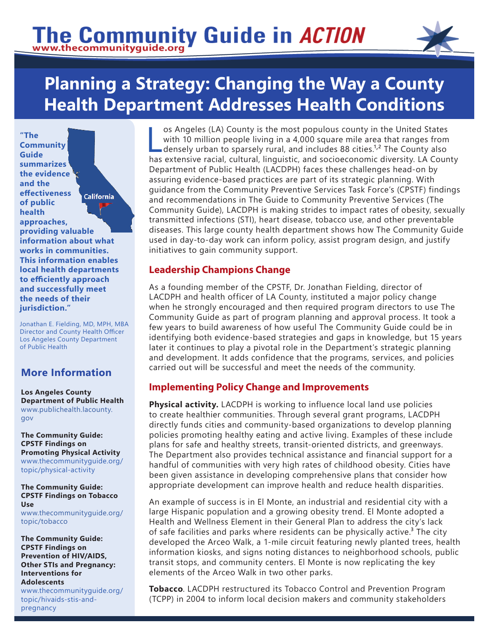# The Community Guide in ACTION



# **Planning a Strategy: Changing the Way a County Health Department Addresses Health Conditions**

**"The Community Guide summarizes the evidence and the effectiveness California of public health approaches, providing valuable information about what works in communities. This information enables local health departments to efficiently approach and successfully meet the needs of their jurisdiction."**

Jonathan E. Fielding, MD, MPH, MBA Director and County Health Officer Los Angeles County Department of Public Health

# **More Information**

**Los Angeles County Department of Public Health** [www.publichealth.lacounty.](http://www.publichealth.lacounty.gov/) [gov](http://www.publichealth.lacounty.gov/)

**The Community Guide: CPSTF Findings on Promoting Physical Activity**  [www.thecommunityguide.org/](https://www.thecommunityguide.org/topic/physical-activity) [topic/](https://www.thecommunityguide.org/topic/physical-activity)physical-activity

**The Community Guide: CPSTF Findings on Tobacco Use** [www.thecommunityguide.org](https://www.thecommunityguide.org/topic/tobacco)/ topic/tobacco

**The Community Guide: CPSTF Findings on Prevention of HIV/AIDS, Other STIs and Pregnancy: Interventions for Adolescents**

[www.thecommunityguide.org](https://www.thecommunityguide.org/topic/hivaids-stis-and-pregnancy)/ topic/hivaids-stis-andpregnancy

os Angeles (LA) County is the most populous county in the United States<br>with 10 million people living in a 4,000 square mile area that ranges from<br>densely urban to sparsely rural, and includes 88 cities.<sup>1,2</sup> The County a with 10 million people living in a 4,000 square mile area that ranges from densely urban to sparsely rural, and includes 88 cities.<sup>1,2</sup> The County also has extensive racial, cultural, linguistic, and socioeconomic diversity. LA County Department of Public Health (LACDPH) faces these challenges head-on by assuring evidence-based practices are part of its strategic planning. With guidance from the Community Preventive Services Task Force's (CPSTF) findings and recommendations in The Guide to Community Preventive Services (The Community Guide), LACDPH is making strides to impact rates of obesity, sexually transmitted infections (STI), heart disease, tobacco use, and other preventable diseases. This large county health department shows how The Community Guide used in day-to-day work can inform policy, assist program design, and justify initiatives to gain community support.

## **Leadership Champions Change**

As a founding member of the CPSTF, Dr. Jonathan Fielding, director of LACDPH and health officer of LA County, instituted a major policy change when he strongly encouraged and then required program directors to use The Community Guide as part of program planning and approval process. It took a few years to build awareness of how useful The Community Guide could be in identifying both evidence-based strategies and gaps in knowledge, but 15 years later it continues to play a pivotal role in the Department's strategic planning and development. It adds confidence that the programs, services, and policies carried out will be successful and meet the needs of the community.

#### **Implementing Policy Change and Improvements**

**Physical activity.** LACDPH is working to influence local land use policies to create healthier communities. Through several grant programs, LACDPH directly funds cities and community-based organizations to develop planning policies promoting healthy eating and active living. Examples of these include plans for safe and healthy streets, transit-oriented districts, and greenways. The Department also provides technical assistance and financial support for a handful of communities with very high rates of childhood obesity. Cities have been given assistance in developing comprehensive plans that consider how appropriate development can improve health and reduce health disparities.

An example of success is in El Monte, an industrial and residential city with a large Hispanic population and a growing obesity trend. El Monte adopted a Health and Wellness Element in their General Plan to address the city's lack of safe facilities and parks where residents can be physically active.<sup>3</sup> The city developed the Arceo Walk, a 1-mile circuit featuring newly planted trees, health information kiosks, and signs noting distances to neighborhood schools, public transit stops, and community centers. El Monte is now replicating the key elements of the Arceo Walk in two other parks.

**Tobacco**. LACDPH restructured its Tobacco Control and Prevention Program (TCPP) in 2004 to inform local decision makers and community stakeholders